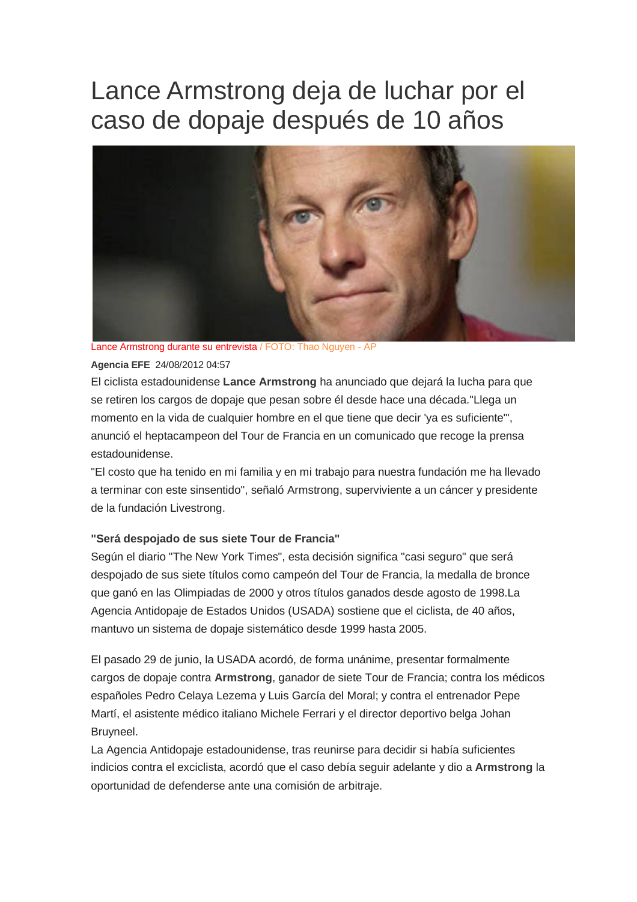## Lance Armstrong deja de luchar por el caso de dopaje después de 10 años



Lance Armstrong durante su entrevista / FOTO: Thao Nguyen - AP

#### **Agencia EFE** 24/08/2012 04:57

El ciclista estadounidense **Lance Armstrong** ha anunciado que dejará la lucha para que se retiren los cargos de dopaje que pesan sobre él desde hace una década."Llega un momento en la vida de cualquier hombre en el que tiene que decir 'ya es suficiente'", anunció el heptacampeon del Tour de Francia en un comunicado que recoge la prensa estadounidense.

"El costo que ha tenido en mi familia y en mi trabajo para nuestra fundación me ha llevado a terminar con este sinsentido", señaló Armstrong, superviviente a un cáncer y presidente de la fundación Livestrong.

### **"Será despojado de sus siete Tour de Francia"**

Según el diario "The New York Times", esta decisión significa "casi seguro" que será despojado de sus siete títulos como campeón del Tour de Francia, la medalla de bronce que ganó en las Olimpiadas de 2000 y otros títulos ganados desde agosto de 1998.La Agencia Antidopaje de Estados Unidos (USADA) sostiene que el ciclista, de 40 años, mantuvo un sistema de dopaje sistemático desde 1999 hasta 2005.

El pasado 29 de junio, la USADA acordó, de forma unánime, presentar formalmente cargos de dopaje contra **Armstrong**, ganador de siete Tour de Francia; contra los médicos españoles Pedro Celaya Lezema y Luis García del Moral; y contra el entrenador Pepe Martí, el asistente médico italiano Michele Ferrari y el director deportivo belga Johan Bruyneel.

La Agencia Antidopaje estadounidense, tras reunirse para decidir si había suficientes indicios contra el exciclista, acordó que el caso debía seguir adelante y dio a **Armstrong** la oportunidad de defenderse ante una comisión de arbitraje.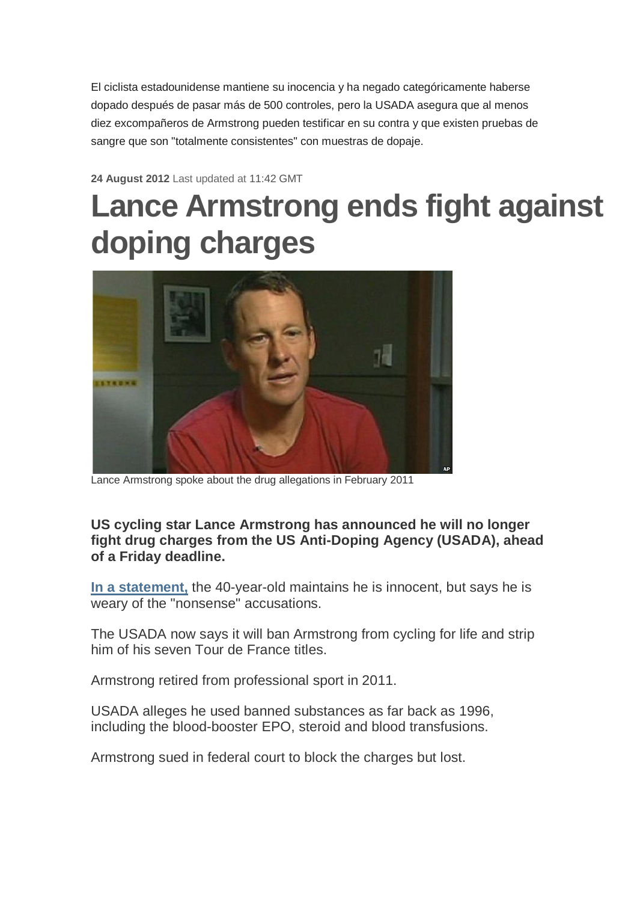El ciclista estadounidense mantiene su inocencia y ha negado categóricamente haberse dopado después de pasar más de 500 controles, pero la USADA asegura que al menos diez excompañeros de Armstrong pueden testificar en su contra y que existen pruebas de sangre que son "totalmente consistentes" con muestras de dopaje.

**24 August 2012** Last updated at 11:42 GMT

# **Lance Armstrong ends fight against doping charges**



Lance Armstrong spoke about the drug allegations in February 2011

**US cycling star Lance Armstrong has announced he will no longer fight drug charges from the US Anti-Doping Agency (USADA), ahead of a Friday deadline.**

**In a statement,** the 40-year-old maintains he is innocent, but says he is weary of the "nonsense" accusations.

The USADA now says it will ban Armstrong from cycling for life and strip him of his seven Tour de France titles.

Armstrong retired from professional sport in 2011.

USADA alleges he used banned substances as far back as 1996, including the blood-booster EPO, steroid and blood transfusions.

Armstrong sued in federal court to block the charges but lost.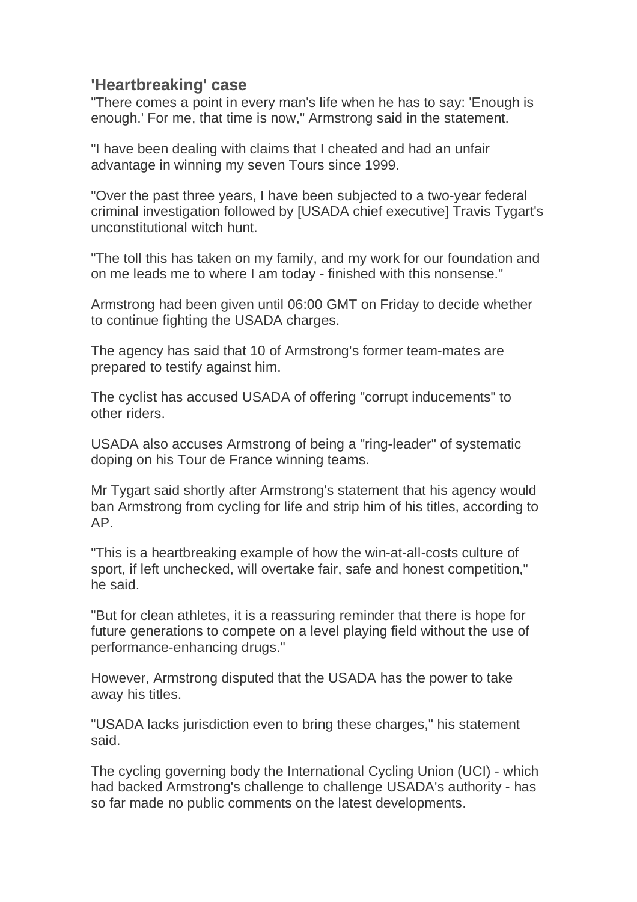### **'Heartbreaking' case**

"There comes a point in every man's life when he has to say: 'Enough is enough.' For me, that time is now," Armstrong said in the statement.

"I have been dealing with claims that I cheated and had an unfair advantage in winning my seven Tours since 1999.

"Over the past three years, I have been subjected to a two-year federal criminal investigation followed by [USADA chief executive] Travis Tygart's unconstitutional witch hunt.

"The toll this has taken on my family, and my work for our foundation and on me leads me to where I am today - finished with this nonsense."

Armstrong had been given until 06:00 GMT on Friday to decide whether to continue fighting the USADA charges.

The agency has said that 10 of Armstrong's former team-mates are prepared to testify against him.

The cyclist has accused USADA of offering "corrupt inducements" to other riders.

USADA also accuses Armstrong of being a "ring-leader" of systematic doping on his Tour de France winning teams.

Mr Tygart said shortly after Armstrong's statement that his agency would ban Armstrong from cycling for life and strip him of his titles, according to AP.

"This is a heartbreaking example of how the win-at-all-costs culture of sport, if left unchecked, will overtake fair, safe and honest competition," he said.

"But for clean athletes, it is a reassuring reminder that there is hope for future generations to compete on a level playing field without the use of performance-enhancing drugs."

However, Armstrong disputed that the USADA has the power to take away his titles.

"USADA lacks jurisdiction even to bring these charges," his statement said.

The cycling governing body the International Cycling Union (UCI) - which had backed Armstrong's challenge to challenge USADA's authority - has so far made no public comments on the latest developments.